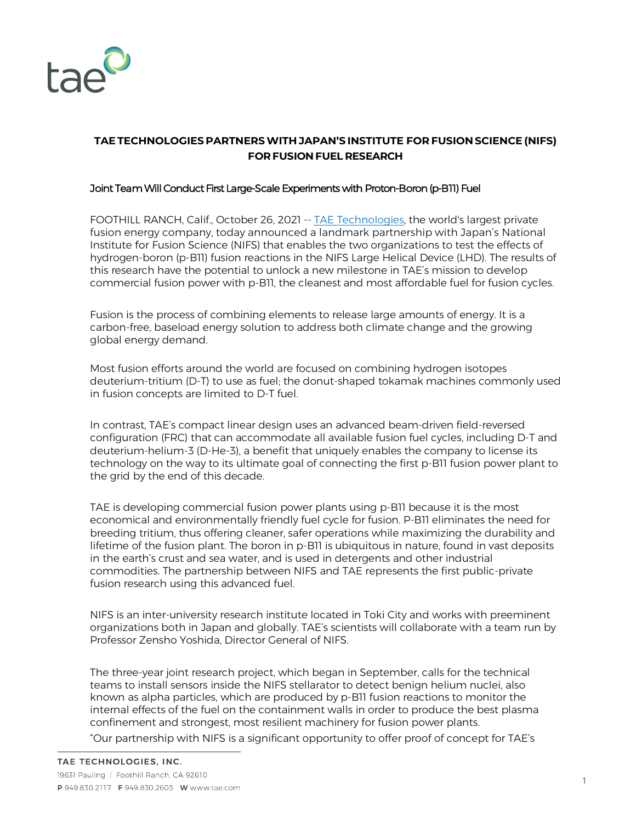

## **TAE TECHNOLOGIES PARTNERSWITH JAPAN'S INSTITUTE FOR FUSION SCIENCE (NIFS) FORFUSION FUEL RESEARCH**

## Joint Team Will Conduct First Large-Scale Experiments with Proton-Boron (p-B11) Fuel

FOOTHILL RANCH, Calif., October 26, 2021 -- TAE Technologies, the world's largest private fusion energy company, today announced a landmark partnership with Japan's National Institute for Fusion Science (NIFS) that enables the two organizations to test the effects of hydrogen-boron (p-B11) fusion reactions in the NIFS Large Helical Device (LHD). The results of this research have the potential to unlock a new milestone in TAE's mission to develop commercial fusion power with p-B11, the cleanest and most affordable fuel for fusion cycles.

Fusion is the process of combining elements to release large amounts of energy. It is a carbon-free, baseload energy solution to address both climate change and the growing global energy demand.

Most fusion efforts around the world are focused on combining hydrogen isotopes deuterium-tritium (D-T) to use as fuel; the donut-shaped tokamak machines commonly used in fusion concepts are limited to D-T fuel.

In contrast, TAE's compact linear design uses an advanced beam-driven field-reversed configuration (FRC) that can accommodate all available fusion fuel cycles, including D-T and deuterium-helium-3 (D-He-3), a benefit that uniquely enables the company to license its technology on the way to its ultimate goal of connecting the first p-B11 fusion power plant to the grid by the end of this decade.

TAE is developing commercial fusion power plants using p-B11 because it is the most economical and environmentally friendly fuel cycle for fusion. P-B11 eliminates the need for breeding tritium, thus offering cleaner, safer operations while maximizing the durability and lifetime of the fusion plant. The boron in p-B11 is ubiquitous in nature, found in vast deposits in the earth's crust and sea water, and is used in detergents and other industrial commodities. The partnership between NIFS and TAE represents the first public-private fusion research using this advanced fuel.

NIFS is an inter-university research institute located in Toki City and works with preeminent organizations both in Japan and globally. TAE's scientists will collaborate with a team run by Professor Zensho Yoshida, Director General of NIFS.

The three-year joint research project, which began in September, calls for the technical teams to install sensors inside the NIFS stellarator to detect benign helium nuclei, also known as alpha particles, which are produced by p-B11 fusion reactions to monitor the internal effects of the fuel on the containment walls in order to produce the best plasma confinement and strongest, most resilient machinery for fusion power plants.

"Our partnership with NIFS is a significant opportunity to offer proof of concept for TAE's